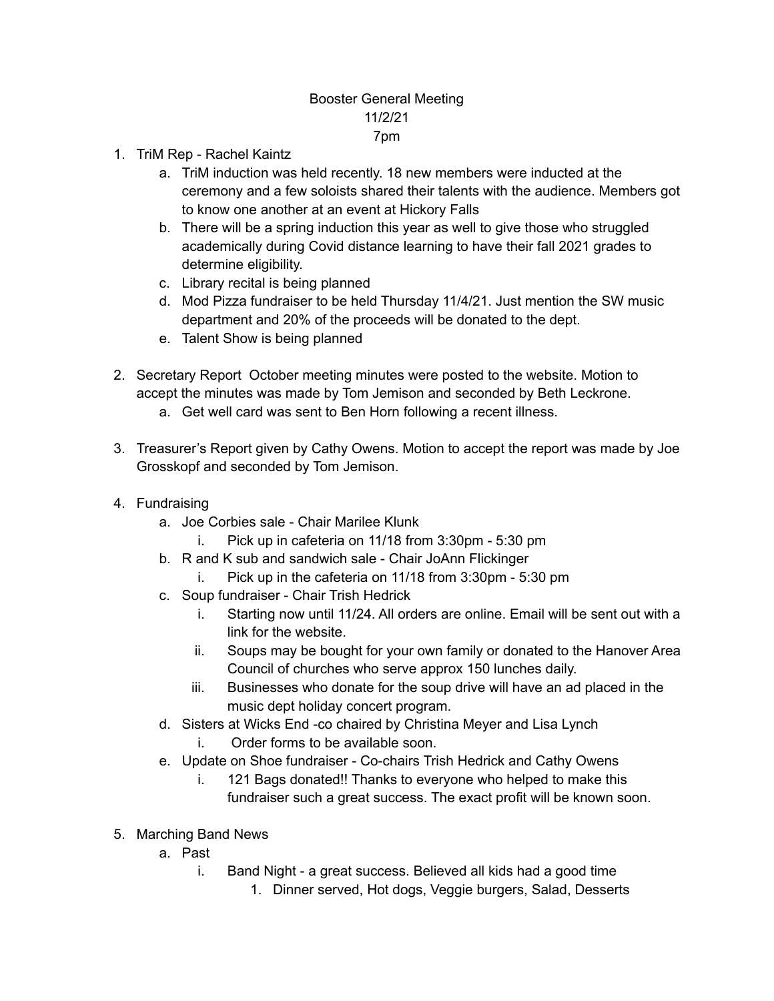## Booster General Meeting 11/2/21 7pm

- 1. TriM Rep Rachel Kaintz
	- a. TriM induction was held recently. 18 new members were inducted at the ceremony and a few soloists shared their talents with the audience. Members got to know one another at an event at Hickory Falls
	- b. There will be a spring induction this year as well to give those who struggled academically during Covid distance learning to have their fall 2021 grades to determine eligibility.
	- c. Library recital is being planned
	- d. Mod Pizza fundraiser to be held Thursday 11/4/21. Just mention the SW music department and 20% of the proceeds will be donated to the dept.
	- e. Talent Show is being planned
- 2. Secretary Report October meeting minutes were posted to the website. Motion to accept the minutes was made by Tom Jemison and seconded by Beth Leckrone.
	- a. Get well card was sent to Ben Horn following a recent illness.
- 3. Treasurer's Report given by Cathy Owens. Motion to accept the report was made by Joe Grosskopf and seconded by Tom Jemison.
- 4. Fundraising
	- a. Joe Corbies sale Chair Marilee Klunk
		- i. Pick up in cafeteria on 11/18 from 3:30pm 5:30 pm
	- b. R and K sub and sandwich sale Chair JoAnn Flickinger
		- i. Pick up in the cafeteria on 11/18 from 3:30pm 5:30 pm
	- c. Soup fundraiser Chair Trish Hedrick
		- i. Starting now until 11/24. All orders are online. Email will be sent out with a link for the website.
		- ii. Soups may be bought for your own family or donated to the Hanover Area Council of churches who serve approx 150 lunches daily.
		- iii. Businesses who donate for the soup drive will have an ad placed in the music dept holiday concert program.
	- d. Sisters at Wicks End -co chaired by Christina Meyer and Lisa Lynch
		- i. Order forms to be available soon.
	- e. Update on Shoe fundraiser Co-chairs Trish Hedrick and Cathy Owens
		- i. 121 Bags donated!! Thanks to everyone who helped to make this fundraiser such a great success. The exact profit will be known soon.
- 5. Marching Band News
	- a. Past
		- i. Band Night a great success. Believed all kids had a good time
			- 1. Dinner served, Hot dogs, Veggie burgers, Salad, Desserts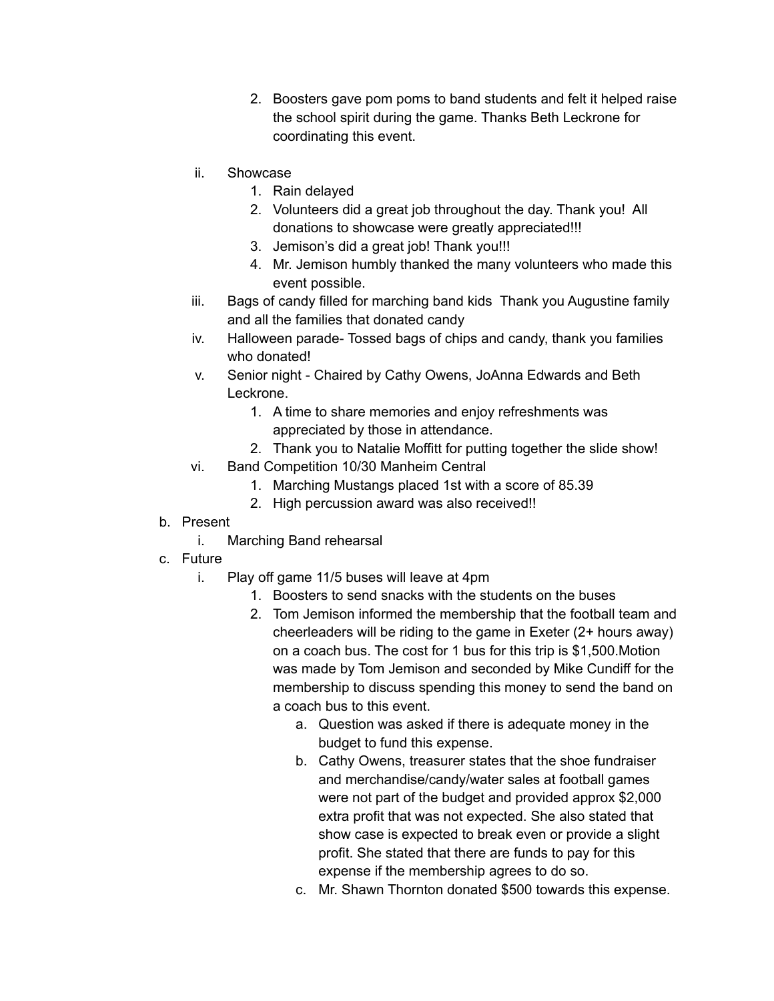- 2. Boosters gave pom poms to band students and felt it helped raise the school spirit during the game. Thanks Beth Leckrone for coordinating this event.
- ii. Showcase
	- 1. Rain delayed
	- 2. Volunteers did a great job throughout the day. Thank you! All donations to showcase were greatly appreciated!!!
	- 3. Jemison's did a great job! Thank you!!!
	- 4. Mr. Jemison humbly thanked the many volunteers who made this event possible.
- iii. Bags of candy filled for marching band kids Thank you Augustine family and all the families that donated candy
- iv. Halloween parade- Tossed bags of chips and candy, thank you families who donated!
- v. Senior night Chaired by Cathy Owens, JoAnna Edwards and Beth Leckrone.
	- 1. A time to share memories and enjoy refreshments was appreciated by those in attendance.
	- 2. Thank you to Natalie Moffitt for putting together the slide show!
- vi. Band Competition 10/30 Manheim Central
	- 1. Marching Mustangs placed 1st with a score of 85.39
	- 2. High percussion award was also received!!
- b. Present
	- i. Marching Band rehearsal
- c. Future
	- i. Play off game 11/5 buses will leave at 4pm
		- 1. Boosters to send snacks with the students on the buses
		- 2. Tom Jemison informed the membership that the football team and cheerleaders will be riding to the game in Exeter (2+ hours away) on a coach bus. The cost for 1 bus for this trip is \$1,500.Motion was made by Tom Jemison and seconded by Mike Cundiff for the membership to discuss spending this money to send the band on a coach bus to this event.
			- a. Question was asked if there is adequate money in the budget to fund this expense.
			- b. Cathy Owens, treasurer states that the shoe fundraiser and merchandise/candy/water sales at football games were not part of the budget and provided approx \$2,000 extra profit that was not expected. She also stated that show case is expected to break even or provide a slight profit. She stated that there are funds to pay for this expense if the membership agrees to do so.
			- c. Mr. Shawn Thornton donated \$500 towards this expense.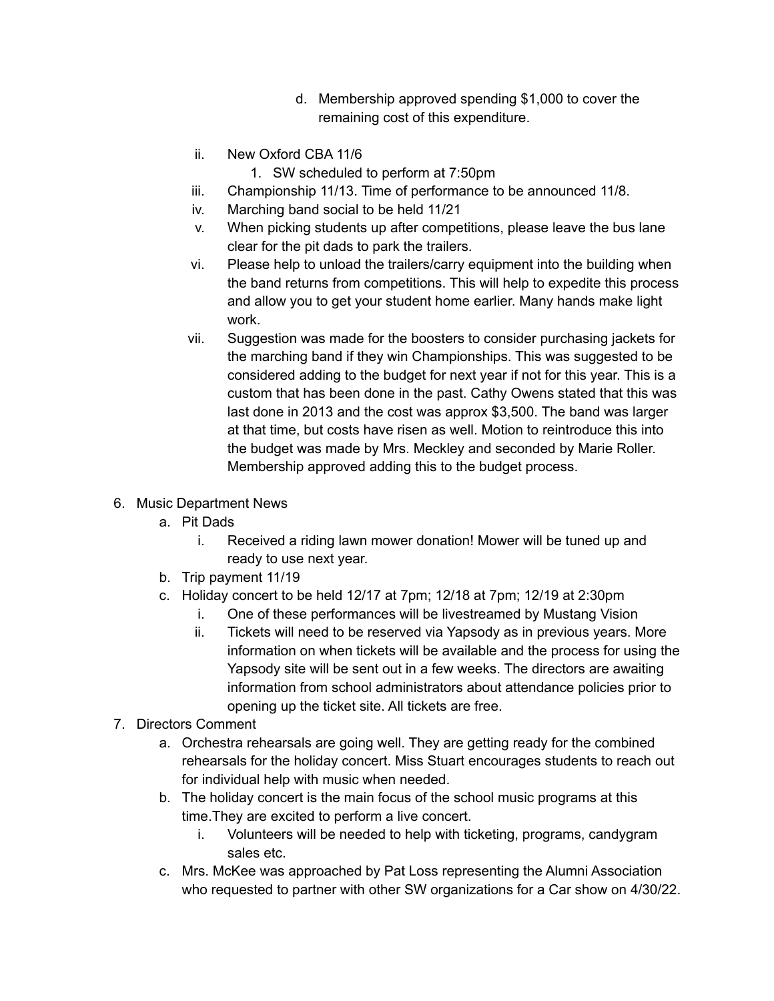- d. Membership approved spending \$1,000 to cover the remaining cost of this expenditure.
- ii. New Oxford CBA 11/6
	- 1. SW scheduled to perform at 7:50pm
- iii. Championship 11/13. Time of performance to be announced 11/8.
- iv. Marching band social to be held 11/21
- v. When picking students up after competitions, please leave the bus lane clear for the pit dads to park the trailers.
- vi. Please help to unload the trailers/carry equipment into the building when the band returns from competitions. This will help to expedite this process and allow you to get your student home earlier. Many hands make light work.
- vii. Suggestion was made for the boosters to consider purchasing jackets for the marching band if they win Championships. This was suggested to be considered adding to the budget for next year if not for this year. This is a custom that has been done in the past. Cathy Owens stated that this was last done in 2013 and the cost was approx \$3,500. The band was larger at that time, but costs have risen as well. Motion to reintroduce this into the budget was made by Mrs. Meckley and seconded by Marie Roller. Membership approved adding this to the budget process.
- 6. Music Department News
	- a. Pit Dads
		- i. Received a riding lawn mower donation! Mower will be tuned up and ready to use next year.
	- b. Trip payment 11/19
	- c. Holiday concert to be held 12/17 at 7pm; 12/18 at 7pm; 12/19 at 2:30pm
		- i. One of these performances will be livestreamed by Mustang Vision
		- ii. Tickets will need to be reserved via Yapsody as in previous years. More information on when tickets will be available and the process for using the Yapsody site will be sent out in a few weeks. The directors are awaiting information from school administrators about attendance policies prior to opening up the ticket site. All tickets are free.
- 7. Directors Comment
	- a. Orchestra rehearsals are going well. They are getting ready for the combined rehearsals for the holiday concert. Miss Stuart encourages students to reach out for individual help with music when needed.
	- b. The holiday concert is the main focus of the school music programs at this time.They are excited to perform a live concert.
		- i. Volunteers will be needed to help with ticketing, programs, candygram sales etc.
	- c. Mrs. McKee was approached by Pat Loss representing the Alumni Association who requested to partner with other SW organizations for a Car show on 4/30/22.